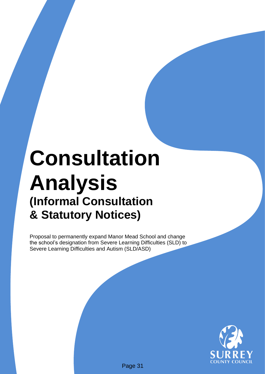# **Consultation Analysis (Informal Consultation & Statutory Notices)**

Proposal to permanently expand Manor Mead School and change the school's designation from Severe Learning Difficulties (SLD) to Severe Learning Difficulties and Autism (SLD/ASD)

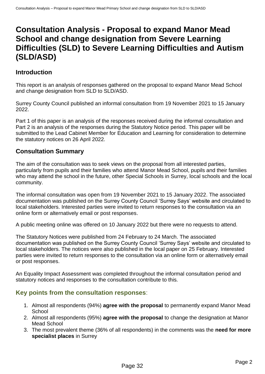## **Consultation Analysis - Proposal to expand Manor Mead School and change designation from Severe Learning Difficulties (SLD) to Severe Learning Difficulties and Autism (SLD/ASD)**

## **Introduction**

This report is an analysis of responses gathered on the proposal to expand Manor Mead School and change designation from SLD to SLD/ASD.

Surrey County Council published an informal consultation from 19 November 2021 to 15 January 2022.

Part 1 of this paper is an analysis of the responses received during the informal consultation and Part 2 is an analysis of the responses during the Statutory Notice period. This paper will be submitted to the Lead Cabinet Member for Education and Learning for consideration to determine the statutory notices on 26 April 2022*.*

## **Consultation Summary**

The aim of the consultation was to seek views on the proposal from all interested parties, particularly from pupils and their families who attend Manor Mead School, pupils and their families who may attend the school in the future, other Special Schools in Surrey, local schools and the local community.

The informal consultation was open from 19 November 2021 to 15 January 2022. The associated documentation was published on the Surrey County Council 'Surrey Says' website and circulated to local stakeholders. Interested parties were invited to return responses to the consultation via an online form or alternatively email or post responses.

A public meeting online was offered on 10 January 2022 but there were no requests to attend.

The Statutory Notices were published from 24 February to 24 March. The associated documentation was published on the Surrey County Council 'Surrey Says' website and circulated to local stakeholders. The notices were also published in the local paper on 25 February. Interested parties were invited to return responses to the consultation via an online form or alternatively email or post responses.

An Equality Impact Assessment was completed throughout the informal consultation period and statutory notices and responses to the consultation contribute to this.

### **Key points from the consultation responses**:

- 1. Almost all respondents (94%) **agree with the proposal** to permanently expand Manor Mead **School**
- 2. Almost all respondents (95%) **agree with the proposal** to change the designation at Manor Mead School
- 3. The most prevalent theme (36% of all respondents) in the comments was the **need for more specialist places** in Surrey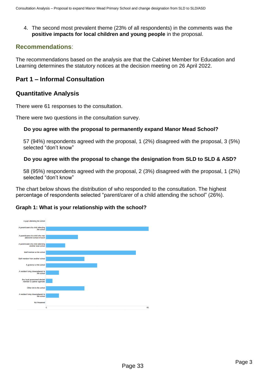4. The second most prevalent theme (23% of all respondents) in the comments was the **positive impacts for local children and young people** in the proposal.

## **Recommendations**:

The recommendations based on the analysis are that the Cabinet Member for Education and Learning determines the statutory notices at the decision meeting on 26 April 2022.

## **Part 1 – Informal Consultation**

## **Quantitative Analysis**

There were 61 responses to the consultation.

There were two questions in the consultation survey.

#### **Do you agree with the proposal to permanently expand Manor Mead School?**

57 (94%) respondents agreed with the proposal, 1 (2%) disagreed with the proposal, 3 (5%) selected "don't know"

#### **Do you agree with the proposal to change the designation from SLD to SLD & ASD?**

58 (95%) respondents agreed with the proposal, 2 (3%) disagreed with the proposal, 1 (2%) selected "don't know"

The chart below shows the distribution of who responded to the consultation. The highest percentage of respondents selected "parent/carer of a child attending the school" (26%).

#### **Graph 1: What is your relationship with the school?**

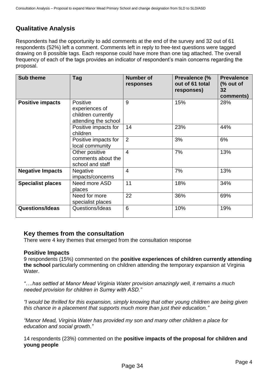## **Qualitative Analysis**

Respondents had the opportunity to add comments at the end of the survey and 32 out of 61 respondents (52%) left a comment. Comments left in reply to free-text questions were tagged drawing on 8 possible tags. Each response could have more than one tag attached. The overall frequency of each of the tags provides an indicator of respondent's main concerns regarding the proposal.

| <b>Sub theme</b>         | Tag                                                                             | <b>Number of</b><br>responses | Prevalence (%<br>out of 61 total<br>responses) | <b>Prevalence</b><br>(% out of<br>32<br>comments) |
|--------------------------|---------------------------------------------------------------------------------|-------------------------------|------------------------------------------------|---------------------------------------------------|
| <b>Positive impacts</b>  | <b>Positive</b><br>experiences of<br>children currently<br>attending the school | 9                             | 15%                                            | 28%                                               |
|                          | Positive impacts for<br>children                                                | 14                            | 23%                                            | 44%                                               |
|                          | Positive impacts for<br>local community                                         | 2                             | 3%                                             | 6%                                                |
|                          | Other positive<br>comments about the<br>school and staff                        | $\overline{4}$                | 7%                                             | 13%                                               |
| <b>Negative Impacts</b>  | <b>Negative</b><br>impacts/concerns                                             | $\overline{4}$                | 7%                                             | 13%                                               |
| <b>Specialist places</b> | Need more ASD<br>places                                                         | 11                            | 18%                                            | 34%                                               |
|                          | Need for more<br>specialist places                                              | 22                            | 36%                                            | 69%                                               |
| <b>Questions/Ideas</b>   | Questions/Ideas                                                                 | 6                             | 10%                                            | 19%                                               |

#### **Key themes from the consultation**

There were 4 key themes that emerged from the consultation response

#### **Positive Impacts**

9 respondents (15%) commented on the **positive experiences of children currently attending the school** particularly commenting on children attending the temporary expansion at Virginia Water.

*"….has settled at Manor Mead Virginia Water provision amazingly well, it remains a much needed provision for children in Surrey with ASD."*

*"I would be thrilled for this expansion, simply knowing that other young children are being given this chance in a placement that supports much more than just their education."*

*"Manor Mead, Virginia Water has provided my son and many other children a place for education and social growth."*

14 respondents (23%) commented on the **positive impacts of the proposal for children and young people**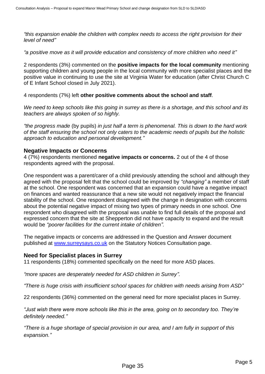*"this expansion enable the children with complex needs to access the right provision for their level of need"*

*"a positive move as it will provide education and consistency of more children who need it"*

2 respondents (3%) commented on the **positive impacts for the local community** mentioning supporting children and young people in the local community with more specialist places and the positive value in continuing to use the site at Virginia Water for education (after Christ Church C of E Infant School closed in July 2021).

4 respondents (7%) left **other positive comments about the school and staff**.

*We need to keep schools like this going in surrey as there is a shortage, and this school and its teachers are always spoken of so highly.*

*"the progress made* (by pupils) *in just half a term is phenomenal. This is down to the hard work of the staff ensuring the school not only caters to the academic needs of pupils but the holistic approach to education and personal development."*

#### **Negative Impacts or Concerns**

4 (7%) respondents mentioned **negative impacts or concerns.** 2 out of the 4 of those respondents agreed with the proposal.

One respondent was a parent/carer of a child previously attending the school and although they agreed with the proposal felt that the school could be improved by *"changing"* a member of staff at the school. One respondent was concerned that an expansion could have a negative impact on finances and wanted reassurance that a new site would not negatively impact the financial stability of the school. One respondent disagreed with the change in designation with concerns about the potential negative impact of mixing two types of primary needs in one school. One respondent who disagreed with the proposal was unable to find full details of the proposal and expressed concern that the site at Shepperton did not have capacity to expand and the result would be *"poorer facilities for the current intake of children".*

The negative impacts or concerns are addressed in the Question and Answer document published at [www.surreysays.co.uk](http://www.surreysays.co.uk/) on the Statutory Notices Consultation page.

#### **Need for Specialist places in Surrey**

11 respondents (18%) commented specifically on the need for more ASD places.

*"more spaces are desperately needed for ASD children in Surrey".*

*"There is huge crisis with insufficient school spaces for children with needs arising from ASD"*

22 respondents (36%) commented on the general need for more specialist places in Surrey.

*"Just wish there were more schools like this in the area, going on to secondary too. They're definitely needed."*

*"There is a huge shortage of special provision in our area, and I am fully in support of this expansion."*